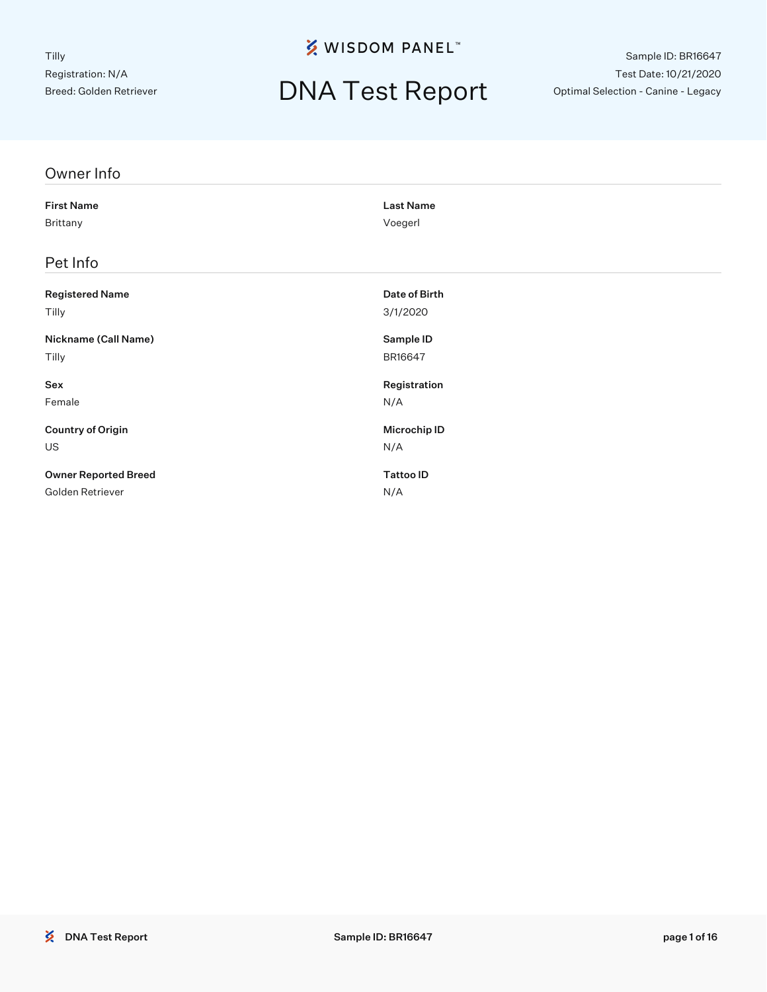# DNA Test Report

Sample ID: BR16647 Test Date: 10/21/2020 Optimal Selection - Canine - Legacy

| Owner Info                  |                  |
|-----------------------------|------------------|
| <b>First Name</b>           | <b>Last Name</b> |
| Brittany                    | Voegerl          |
| Pet Info                    |                  |
|                             |                  |
| <b>Registered Name</b>      | Date of Birth    |
| Tilly                       | 3/1/2020         |
| Nickname (Call Name)        | Sample ID        |
| Tilly                       | BR16647          |
| Sex                         | Registration     |
| Female                      | N/A              |
| <b>Country of Origin</b>    | Microchip ID     |
| <b>US</b>                   | N/A              |
| <b>Owner Reported Breed</b> | <b>Tattoo ID</b> |
| Golden Retriever            | N/A              |
|                             |                  |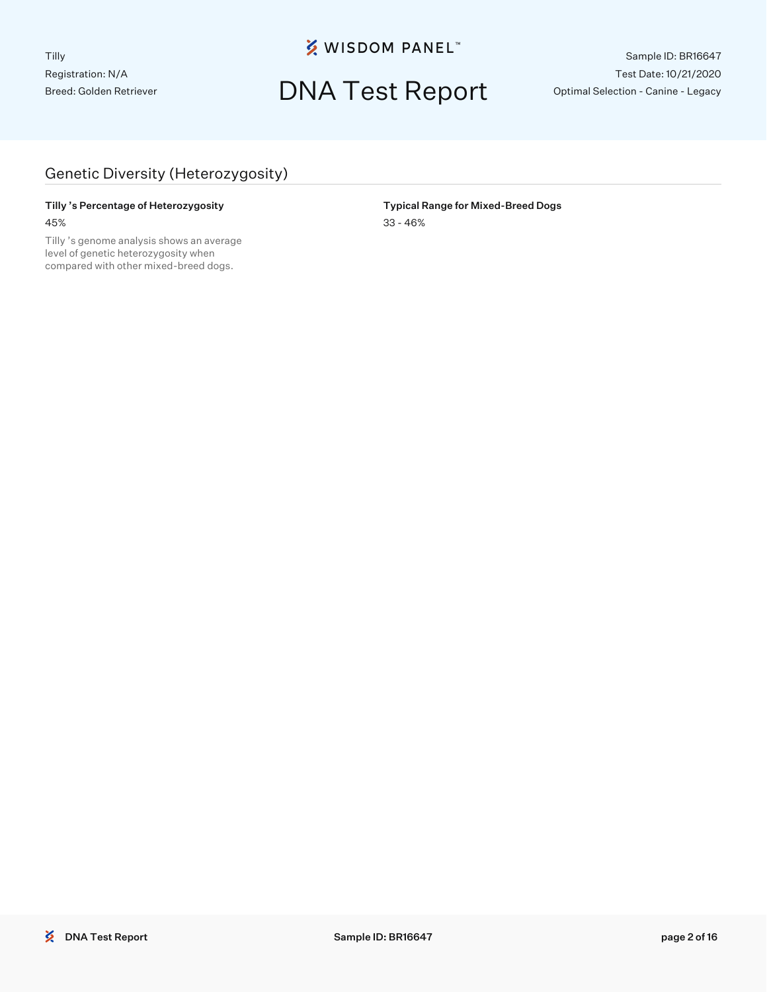## DNA Test Report

Sample ID: BR16647 Test Date: 10/21/2020 Optimal Selection - Canine - Legacy

#### Genetic Diversity (Heterozygosity)

#### Tilly 's Percentage of Heterozygosity **The Community Community Community** Typical Range for Mixed-Breed Dogs 45% 33 - 46%

Tilly 's genome analysis shows an average level of genetic heterozygosity when compared with other mixed-breed dogs.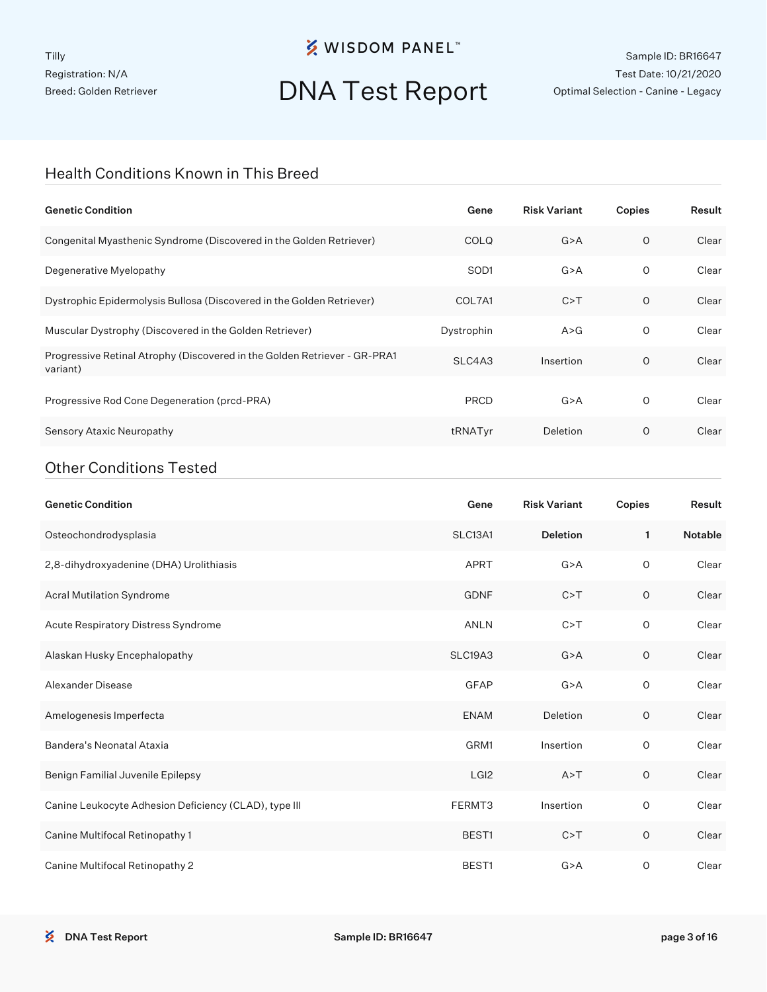## DNA Test Report

Sample ID: BR16647 Test Date: 10/21/2020 Optimal Selection - Canine - Legacy

#### Health Conditions Known in This Breed

| <b>Genetic Condition</b>                                                              | Gene             | <b>Risk Variant</b> | Copies  | Result |
|---------------------------------------------------------------------------------------|------------------|---------------------|---------|--------|
| Congenital Myasthenic Syndrome (Discovered in the Golden Retriever)                   | <b>COLQ</b>      | G > A               | $\circ$ | Clear  |
| Degenerative Myelopathy                                                               | SOD <sub>1</sub> | G > A               | 0       | Clear  |
| Dystrophic Epidermolysis Bullosa (Discovered in the Golden Retriever)                 | COL7A1           | C > T               | $\circ$ | Clear  |
| Muscular Dystrophy (Discovered in the Golden Retriever)                               | Dystrophin       | A > G               | 0       | Clear  |
| Progressive Retinal Atrophy (Discovered in the Golden Retriever - GR-PRA1<br>variant) | SLC4A3           | Insertion           | $\circ$ | Clear  |
| Progressive Rod Cone Degeneration (prcd-PRA)                                          | <b>PRCD</b>      | G > A               | 0       | Clear  |
| Sensory Ataxic Neuropathy                                                             | tRNATyr          | Deletion            | O       | Clear  |
|                                                                                       |                  |                     |         |        |

#### Other Conditions Tested

| <b>Genetic Condition</b>                              | Gene             | <b>Risk Variant</b> | Copies  | Result  |
|-------------------------------------------------------|------------------|---------------------|---------|---------|
| Osteochondrodysplasia                                 | SLC13A1          | <b>Deletion</b>     | 1       | Notable |
| 2,8-dihydroxyadenine (DHA) Urolithiasis               | APRT             | G > A               | 0       | Clear   |
| Acral Mutilation Syndrome                             | <b>GDNF</b>      | C > T               | $\circ$ | Clear   |
| Acute Respiratory Distress Syndrome                   | <b>ANLN</b>      | C > T               | 0       | Clear   |
| Alaskan Husky Encephalopathy                          | SLC19A3          | G > A               | $\circ$ | Clear   |
| Alexander Disease                                     | <b>GFAP</b>      | G > A               | 0       | Clear   |
| Amelogenesis Imperfecta                               | <b>ENAM</b>      | Deletion            | O       | Clear   |
| Bandera's Neonatal Ataxia                             | GRM1             | Insertion           | 0       | Clear   |
| Benign Familial Juvenile Epilepsy                     | LGI <sub>2</sub> | A > T               | $\circ$ | Clear   |
| Canine Leukocyte Adhesion Deficiency (CLAD), type III | FERMT3           | Insertion           | 0       | Clear   |
| Canine Multifocal Retinopathy 1                       | BEST1            | C > T               | $\circ$ | Clear   |
| Canine Multifocal Retinopathy 2                       | BEST1            | G > A               | 0       | Clear   |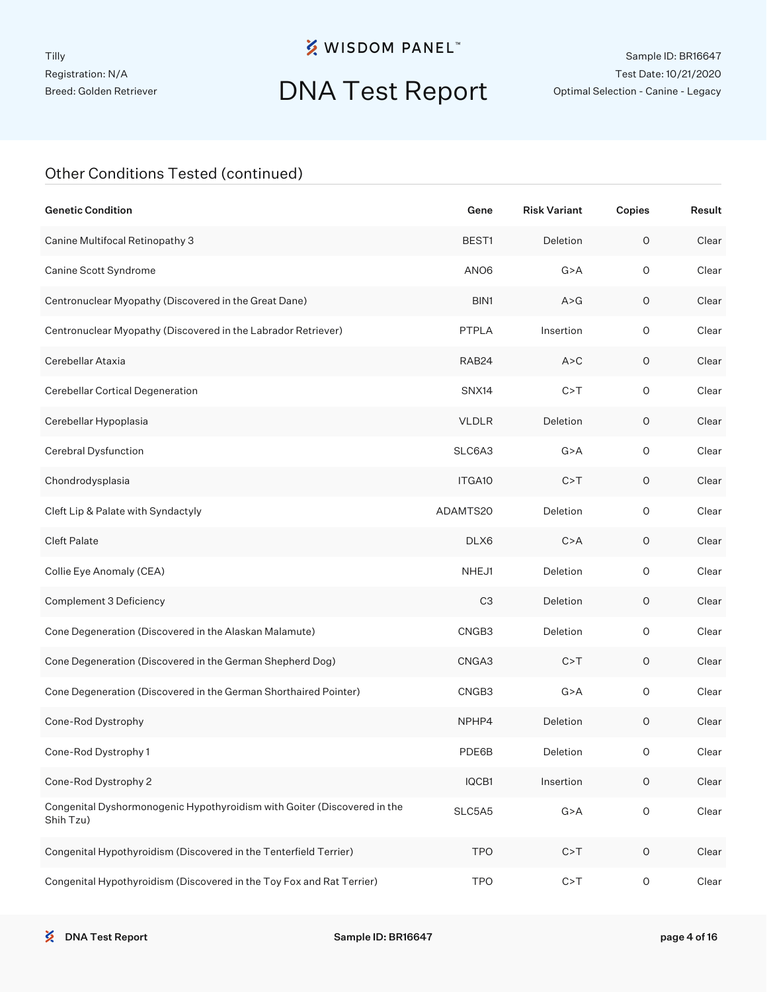# DNA Test Report

Sample ID: BR16647 Test Date: 10/21/2020 Optimal Selection - Canine - Legacy

| <b>Genetic Condition</b>                                                              | Gene               | <b>Risk Variant</b> | Copies              | Result |
|---------------------------------------------------------------------------------------|--------------------|---------------------|---------------------|--------|
| Canine Multifocal Retinopathy 3                                                       | BEST <sub>1</sub>  | Deletion            | 0                   | Clear  |
| Canine Scott Syndrome                                                                 | ANO <sub>6</sub>   | G > A               | $\circ$             | Clear  |
| Centronuclear Myopathy (Discovered in the Great Dane)                                 | BIN1               | A > G               | 0                   | Clear  |
| Centronuclear Myopathy (Discovered in the Labrador Retriever)                         | <b>PTPLA</b>       | Insertion           | $\circ$             | Clear  |
| Cerebellar Ataxia                                                                     | RAB <sub>24</sub>  | A > C               | 0                   | Clear  |
| Cerebellar Cortical Degeneration                                                      | SNX14              | C > T               | $\circ$             | Clear  |
| Cerebellar Hypoplasia                                                                 | <b>VLDLR</b>       | Deletion            | $\circ$             | Clear  |
| Cerebral Dysfunction                                                                  | SLC6A3             | G > A               | $\circ$             | Clear  |
| Chondrodysplasia                                                                      | ITGA <sub>10</sub> | C > T               | 0                   | Clear  |
| Cleft Lip & Palate with Syndactyly                                                    | ADAMTS20           | Deletion            | $\circ$             | Clear  |
| <b>Cleft Palate</b>                                                                   | DLX6               | C > A               | 0                   | Clear  |
| Collie Eye Anomaly (CEA)                                                              | NHEJ1              | Deletion            | $\circ$             | Clear  |
| Complement 3 Deficiency                                                               | C <sub>3</sub>     | Deletion            | $\circ$             | Clear  |
| Cone Degeneration (Discovered in the Alaskan Malamute)                                | CNGB3              | Deletion            | $\circ$             | Clear  |
| Cone Degeneration (Discovered in the German Shepherd Dog)                             | CNGA3              | C > T               | 0                   | Clear  |
| Cone Degeneration (Discovered in the German Shorthaired Pointer)                      | CNGB3              | G > A               | $\circ$             | Clear  |
| Cone-Rod Dystrophy                                                                    | NPHP4              | Deletion            | 0                   | Clear  |
| Cone-Rod Dystrophy 1                                                                  | PDE6B              | Deletion            | 0                   | Clear  |
| Cone-Rod Dystrophy 2                                                                  | IQCB1              | Insertion           | $\mathsf O$         | Clear  |
| Congenital Dyshormonogenic Hypothyroidism with Goiter (Discovered in the<br>Shih Tzu) | SLC5A5             | G > A               | $\mathsf O$         | Clear  |
| Congenital Hypothyroidism (Discovered in the Tenterfield Terrier)                     | <b>TPO</b>         | C > T               | $\circ$             | Clear  |
| Congenital Hypothyroidism (Discovered in the Toy Fox and Rat Terrier)                 | <b>TPO</b>         | C > T               | $\mathsf{O}\xspace$ | Clear  |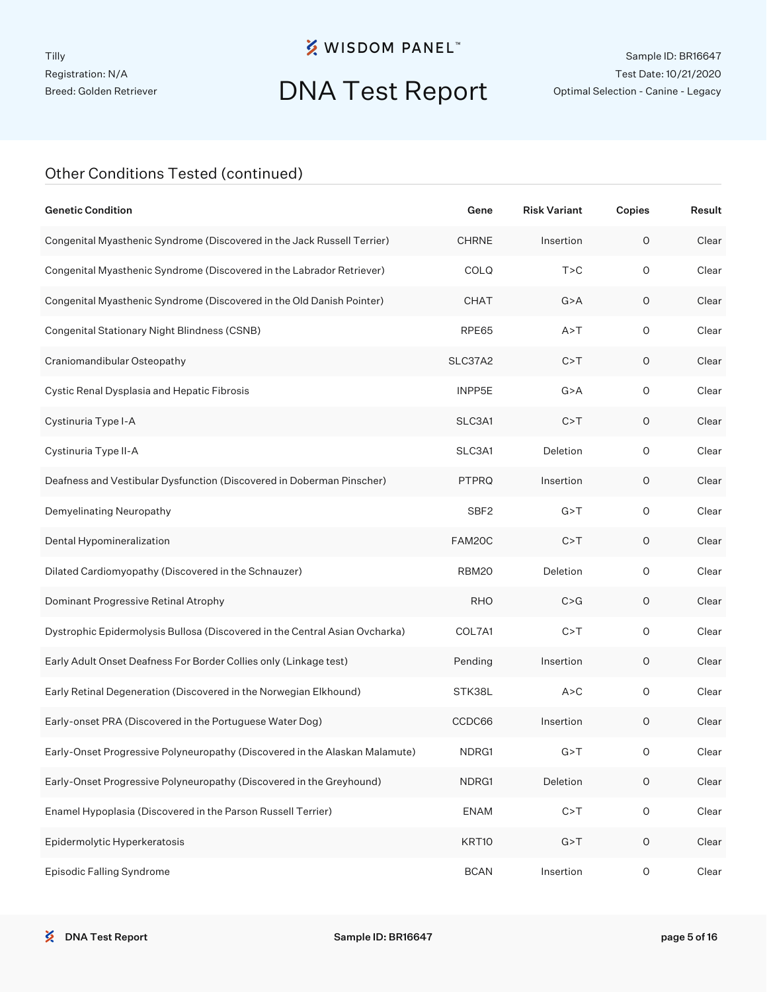# DNA Test Report

Sample ID: BR16647 Test Date: 10/21/2020 Optimal Selection - Canine - Legacy

| <b>Genetic Condition</b>                                                    | Gene             | <b>Risk Variant</b> | Copies              | Result |
|-----------------------------------------------------------------------------|------------------|---------------------|---------------------|--------|
| Congenital Myasthenic Syndrome (Discovered in the Jack Russell Terrier)     | <b>CHRNE</b>     | Insertion           | 0                   | Clear  |
| Congenital Myasthenic Syndrome (Discovered in the Labrador Retriever)       | COLQ             | T > C               | $\circ$             | Clear  |
| Congenital Myasthenic Syndrome (Discovered in the Old Danish Pointer)       | <b>CHAT</b>      | G > A               | $\circ$             | Clear  |
| Congenital Stationary Night Blindness (CSNB)                                | RPE65            | A > T               | $\mathsf O$         | Clear  |
| Craniomandibular Osteopathy                                                 | SLC37A2          | C > T               | $\circ$             | Clear  |
| Cystic Renal Dysplasia and Hepatic Fibrosis                                 | INPP5E           | G > A               | $\mathsf O$         | Clear  |
| Cystinuria Type I-A                                                         | SLC3A1           | C > T               | $\circ$             | Clear  |
| Cystinuria Type II-A                                                        | SLC3A1           | Deletion            | $\mathsf O$         | Clear  |
| Deafness and Vestibular Dysfunction (Discovered in Doberman Pinscher)       | <b>PTPRQ</b>     | Insertion           | $\circ$             | Clear  |
| Demyelinating Neuropathy                                                    | SBF <sub>2</sub> | G > T               | $\mathsf O$         | Clear  |
| Dental Hypomineralization                                                   | FAM20C           | C > T               | $\circ$             | Clear  |
| Dilated Cardiomyopathy (Discovered in the Schnauzer)                        | RBM20            | Deletion            | $\mathsf O$         | Clear  |
| Dominant Progressive Retinal Atrophy                                        | <b>RHO</b>       | C > G               | $\circ$             | Clear  |
| Dystrophic Epidermolysis Bullosa (Discovered in the Central Asian Ovcharka) | COL7A1           | C > T               | $\mathsf O$         | Clear  |
| Early Adult Onset Deafness For Border Collies only (Linkage test)           | Pending          | Insertion           | $\circ$             | Clear  |
| Early Retinal Degeneration (Discovered in the Norwegian Elkhound)           | STK38L           | A > C               | $\mathsf O$         | Clear  |
| Early-onset PRA (Discovered in the Portuguese Water Dog)                    | CCDC66           | Insertion           | $\circ$             | Clear  |
| Early-Onset Progressive Polyneuropathy (Discovered in the Alaskan Malamute) | NDRG1            | G > T               | 0                   | Clear  |
| Early-Onset Progressive Polyneuropathy (Discovered in the Greyhound)        | NDRG1            | Deletion            | $\mathsf O$         | Clear  |
| Enamel Hypoplasia (Discovered in the Parson Russell Terrier)                | <b>ENAM</b>      | C > T               | $\mathsf{O}\xspace$ | Clear  |
| Epidermolytic Hyperkeratosis                                                | KRT10            | G > T               | $\mathsf{O}\xspace$ | Clear  |
| Episodic Falling Syndrome                                                   | <b>BCAN</b>      | Insertion           | $\mathsf O$         | Clear  |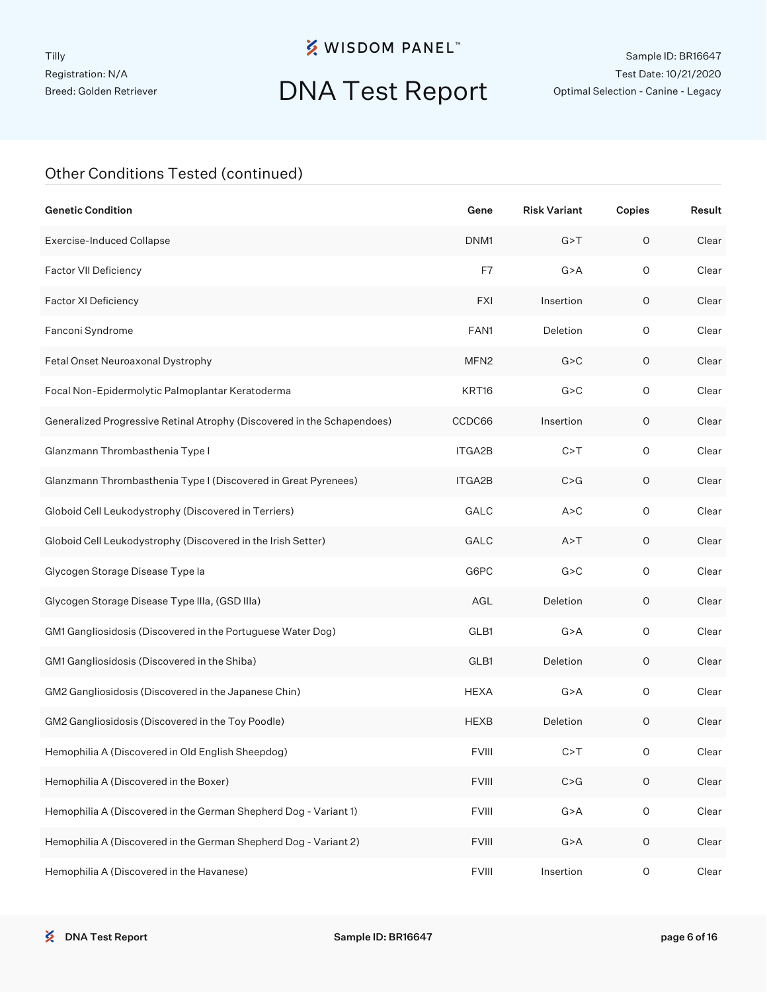## DNA Test Report

Sample ID: BR16647 Test Date: 10/21/2020 Optimal Selection - Canine - Legacy

| <b>Genetic Condition</b>                                                | Gene             | <b>Risk Variant</b> | Copies              | Result |
|-------------------------------------------------------------------------|------------------|---------------------|---------------------|--------|
| <b>Exercise-Induced Collapse</b>                                        | DNM1             | G > T               | $\circ$             | Clear  |
| Factor VII Deficiency                                                   | F7               | G > A               | $\circ$             | Clear  |
| Factor XI Deficiency                                                    | <b>FXI</b>       | Insertion           | 0                   | Clear  |
| Fanconi Syndrome                                                        | FAN1             | Deletion            | $\circ$             | Clear  |
| Fetal Onset Neuroaxonal Dystrophy                                       | MFN <sub>2</sub> | G > C               | 0                   | Clear  |
| Focal Non-Epidermolytic Palmoplantar Keratoderma                        | KRT16            | G > C               | $\circ$             | Clear  |
| Generalized Progressive Retinal Atrophy (Discovered in the Schapendoes) | CCDC66           | Insertion           | 0                   | Clear  |
| Glanzmann Thrombasthenia Type I                                         | ITGA2B           | C > T               | $\circ$             | Clear  |
| Glanzmann Thrombasthenia Type I (Discovered in Great Pyrenees)          | ITGA2B           | C > G               | 0                   | Clear  |
| Globoid Cell Leukodystrophy (Discovered in Terriers)                    | <b>GALC</b>      | A > C               | $\circ$             | Clear  |
| Globoid Cell Leukodystrophy (Discovered in the Irish Setter)            | <b>GALC</b>      | A > T               | 0                   | Clear  |
| Glycogen Storage Disease Type la                                        | G6PC             | G > C               | $\circ$             | Clear  |
| Glycogen Storage Disease Type IIIa, (GSD IIIa)                          | AGL              | Deletion            | 0                   | Clear  |
| GM1 Gangliosidosis (Discovered in the Portuguese Water Dog)             | GLB1             | G > A               | $\circ$             | Clear  |
| GM1 Gangliosidosis (Discovered in the Shiba)                            | GLB1             | Deletion            | 0                   | Clear  |
| GM2 Gangliosidosis (Discovered in the Japanese Chin)                    | <b>HEXA</b>      | G > A               | $\circ$             | Clear  |
| GM2 Gangliosidosis (Discovered in the Toy Poodle)                       | <b>HEXB</b>      | Deletion            | 0                   | Clear  |
| Hemophilia A (Discovered in Old English Sheepdog)                       | <b>FVIII</b>     | C > T               | 0                   | Clear  |
| Hemophilia A (Discovered in the Boxer)                                  | <b>FVIII</b>     | C > G               | $\mathsf O$         | Clear  |
| Hemophilia A (Discovered in the German Shepherd Dog - Variant 1)        | <b>FVIII</b>     | G > A               | $\mathsf{O}\xspace$ | Clear  |
| Hemophilia A (Discovered in the German Shepherd Dog - Variant 2)        | <b>FVIII</b>     | G > A               | $\mathsf O$         | Clear  |
| Hemophilia A (Discovered in the Havanese)                               | <b>FVIII</b>     | Insertion           | $\mathsf O$         | Clear  |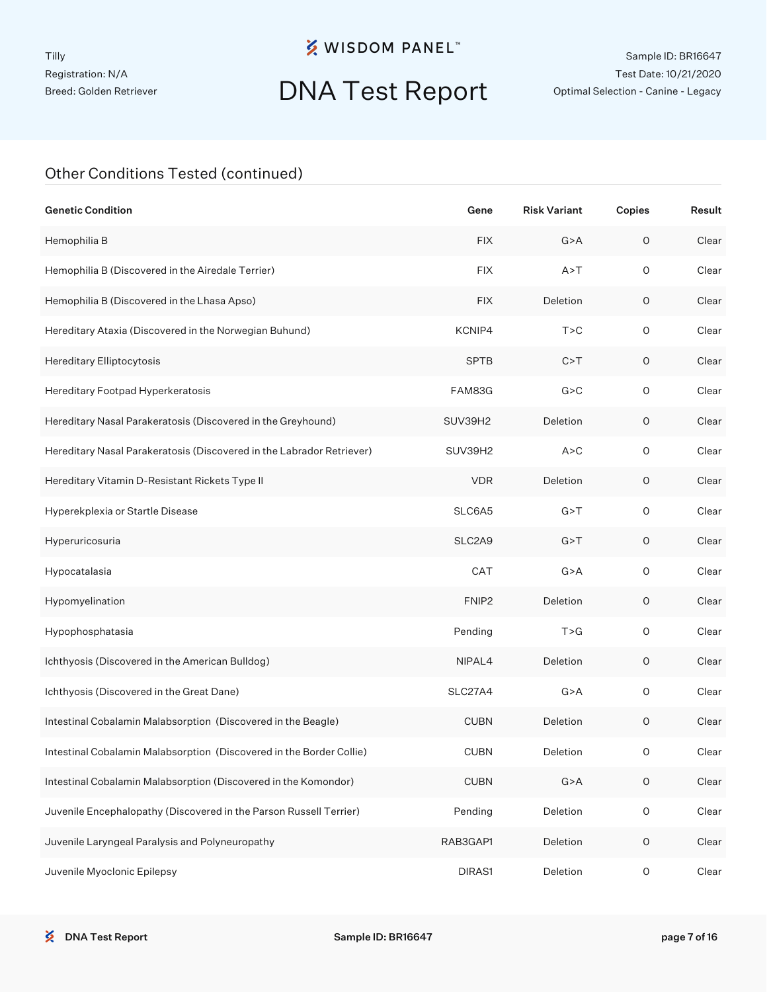# DNA Test Report

Sample ID: BR16647 Test Date: 10/21/2020 Optimal Selection - Canine - Legacy

| <b>Genetic Condition</b>                                              | Gene              | <b>Risk Variant</b> | Copies              | Result |
|-----------------------------------------------------------------------|-------------------|---------------------|---------------------|--------|
| Hemophilia B                                                          | <b>FIX</b>        | G > A               | $\mathsf O$         | Clear  |
| Hemophilia B (Discovered in the Airedale Terrier)                     | <b>FIX</b>        | A > T               | $\mathsf O$         | Clear  |
| Hemophilia B (Discovered in the Lhasa Apso)                           | <b>FIX</b>        | Deletion            | $\circ$             | Clear  |
| Hereditary Ataxia (Discovered in the Norwegian Buhund)                | KCNIP4            | T > C               | $\circ$             | Clear  |
| Hereditary Elliptocytosis                                             | <b>SPTB</b>       | C > T               | $\circ$             | Clear  |
| Hereditary Footpad Hyperkeratosis                                     | FAM83G            | G > C               | $\circ$             | Clear  |
| Hereditary Nasal Parakeratosis (Discovered in the Greyhound)          | SUV39H2           | Deletion            | O                   | Clear  |
| Hereditary Nasal Parakeratosis (Discovered in the Labrador Retriever) | SUV39H2           | A > C               | $\circ$             | Clear  |
| Hereditary Vitamin D-Resistant Rickets Type II                        | <b>VDR</b>        | Deletion            | O                   | Clear  |
| Hyperekplexia or Startle Disease                                      | SLC6A5            | G > T               | $\circ$             | Clear  |
| Hyperuricosuria                                                       | SLC2A9            | G > T               | O                   | Clear  |
| Hypocatalasia                                                         | CAT               | G > A               | $\circ$             | Clear  |
| Hypomyelination                                                       | FNIP <sub>2</sub> | Deletion            | O                   | Clear  |
| Hypophosphatasia                                                      | Pending           | T > G               | $\mathsf O$         | Clear  |
| Ichthyosis (Discovered in the American Bulldog)                       | NIPAL4            | Deletion            | O                   | Clear  |
| Ichthyosis (Discovered in the Great Dane)                             | SLC27A4           | G > A               | $\circ$             | Clear  |
| Intestinal Cobalamin Malabsorption (Discovered in the Beagle)         | <b>CUBN</b>       | Deletion            | O                   | Clear  |
| Intestinal Cobalamin Malabsorption (Discovered in the Border Collie)  | <b>CUBN</b>       | Deletion            | 0                   | Clear  |
| Intestinal Cobalamin Malabsorption (Discovered in the Komondor)       | <b>CUBN</b>       | G > A               | $\mathsf O$         | Clear  |
| Juvenile Encephalopathy (Discovered in the Parson Russell Terrier)    | Pending           | Deletion            | $\mathsf O$         | Clear  |
| Juvenile Laryngeal Paralysis and Polyneuropathy                       | RAB3GAP1          | Deletion            | $\mathsf{O}\xspace$ | Clear  |
| Juvenile Myoclonic Epilepsy                                           | DIRAS1            | Deletion            | $\mathsf O$         | Clear  |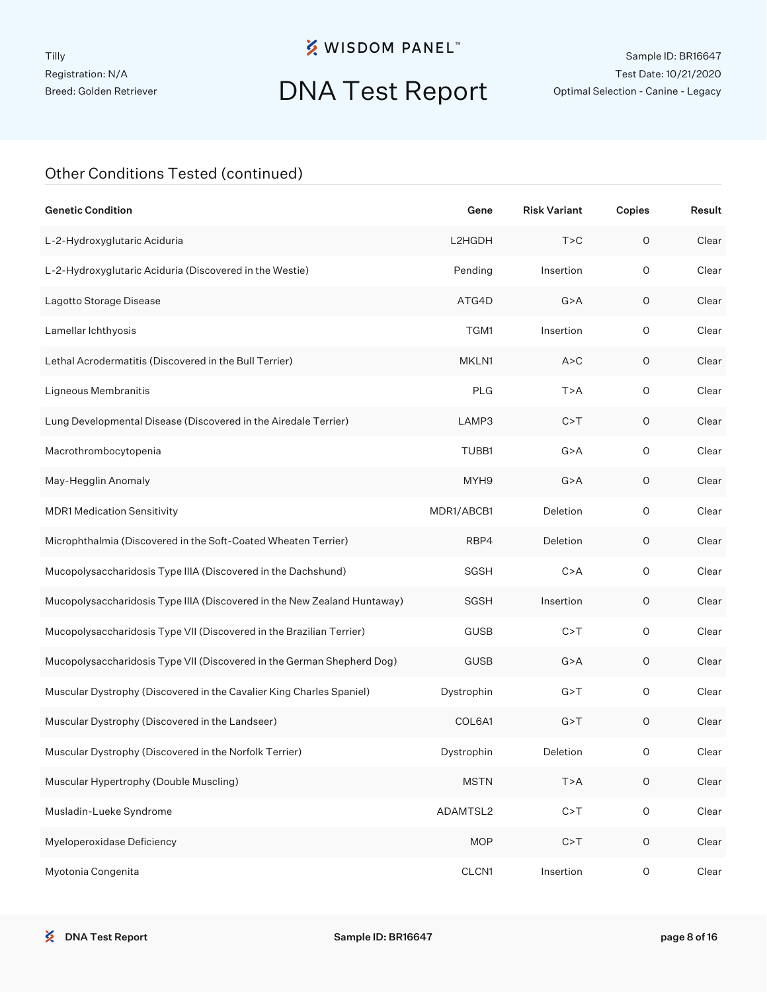## DNA Test Report

Sample ID: BR16647 Test Date: 10/21/2020 Optimal Selection - Canine - Legacy

| <b>Genetic Condition</b>                                                 | Gene        | <b>Risk Variant</b> | Copies              | Result |
|--------------------------------------------------------------------------|-------------|---------------------|---------------------|--------|
| L-2-Hydroxyglutaric Aciduria                                             | L2HGDH      | T > C               | $\circ$             | Clear  |
| L-2-Hydroxyglutaric Aciduria (Discovered in the Westie)                  | Pending     | Insertion           | $\circ$             | Clear  |
| Lagotto Storage Disease                                                  | ATG4D       | G > A               | O                   | Clear  |
| Lamellar Ichthyosis                                                      | TGM1        | Insertion           | $\circ$             | Clear  |
| Lethal Acrodermatitis (Discovered in the Bull Terrier)                   | MKLN1       | A > C               | O                   | Clear  |
| Ligneous Membranitis                                                     | <b>PLG</b>  | T > A               | $\circ$             | Clear  |
| Lung Developmental Disease (Discovered in the Airedale Terrier)          | LAMP3       | C > T               | O                   | Clear  |
| Macrothrombocytopenia                                                    | TUBB1       | G > A               | $\circ$             | Clear  |
| May-Hegglin Anomaly                                                      | MYH9        | G > A               | O                   | Clear  |
| <b>MDR1 Medication Sensitivity</b>                                       | MDR1/ABCB1  | Deletion            | $\circ$             | Clear  |
| Microphthalmia (Discovered in the Soft-Coated Wheaten Terrier)           | RBP4        | Deletion            | O                   | Clear  |
| Mucopolysaccharidosis Type IIIA (Discovered in the Dachshund)            | SGSH        | C > A               | $\circ$             | Clear  |
| Mucopolysaccharidosis Type IIIA (Discovered in the New Zealand Huntaway) | SGSH        | Insertion           | O                   | Clear  |
| Mucopolysaccharidosis Type VII (Discovered in the Brazilian Terrier)     | <b>GUSB</b> | C > T               | $\circ$             | Clear  |
| Mucopolysaccharidosis Type VII (Discovered in the German Shepherd Dog)   | <b>GUSB</b> | G > A               | O                   | Clear  |
| Muscular Dystrophy (Discovered in the Cavalier King Charles Spaniel)     | Dystrophin  | G > T               | $\circ$             | Clear  |
| Muscular Dystrophy (Discovered in the Landseer)                          | COL6A1      | G > T               | O                   | Clear  |
| Muscular Dystrophy (Discovered in the Norfolk Terrier)                   | Dystrophin  | Deletion            | 0                   | Clear  |
| Muscular Hypertrophy (Double Muscling)                                   | <b>MSTN</b> | T > A               | $\mathsf O$         | Clear  |
| Musladin-Lueke Syndrome                                                  | ADAMTSL2    | C > T               | $\mathsf{O}\xspace$ | Clear  |
| Myeloperoxidase Deficiency                                               | <b>MOP</b>  | C > T               | $\mathsf O$         | Clear  |
| Myotonia Congenita                                                       | CLCN1       | Insertion           | $\mathsf O$         | Clear  |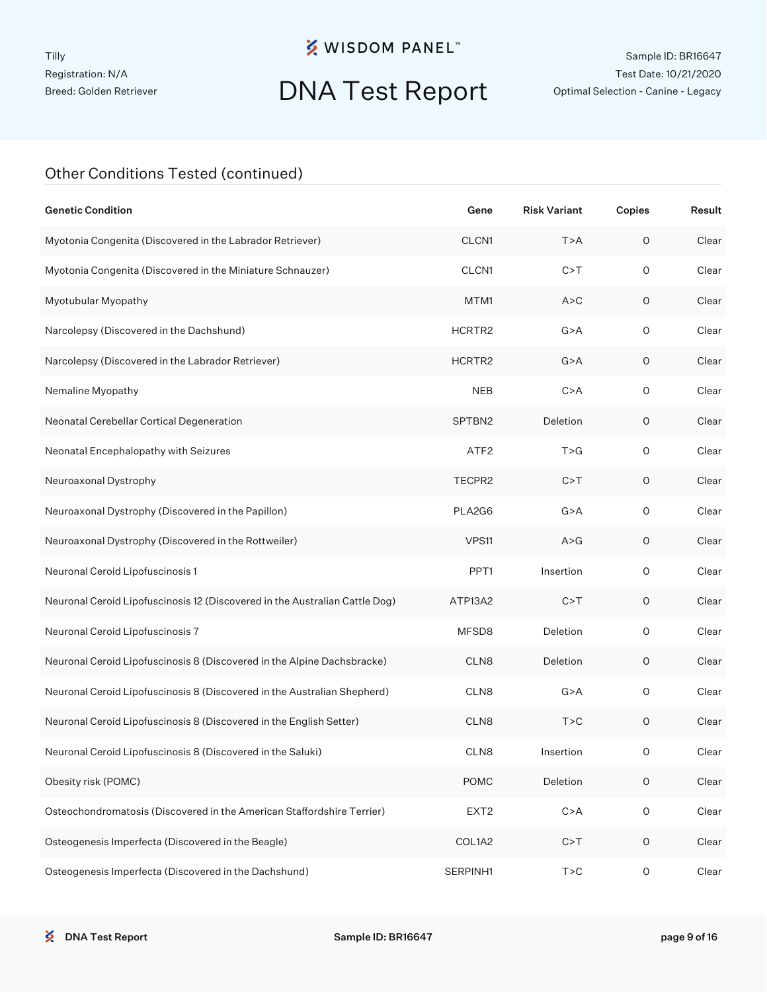## DNA Test Report

Sample ID: BR16647 Test Date: 10/21/2020 Optimal Selection - Canine - Legacy

| <b>Genetic Condition</b>                                                    | Gene             | <b>Risk Variant</b> | Copies              | Result |
|-----------------------------------------------------------------------------|------------------|---------------------|---------------------|--------|
| Myotonia Congenita (Discovered in the Labrador Retriever)                   | CLCN1            | T > A               | $\mathsf O$         | Clear  |
| Myotonia Congenita (Discovered in the Miniature Schnauzer)                  | CLCN1            | C > T               | $\circ$             | Clear  |
| Myotubular Myopathy                                                         | MTM1             | A > C               | O                   | Clear  |
| Narcolepsy (Discovered in the Dachshund)                                    | HCRTR2           | G > A               | $\circ$             | Clear  |
| Narcolepsy (Discovered in the Labrador Retriever)                           | HCRTR2           | G > A               | O                   | Clear  |
| Nemaline Myopathy                                                           | <b>NEB</b>       | C > A               | $\circ$             | Clear  |
| Neonatal Cerebellar Cortical Degeneration                                   | SPTBN2           | Deletion            | O                   | Clear  |
| Neonatal Encephalopathy with Seizures                                       | ATF <sub>2</sub> | T > G               | $\circ$             | Clear  |
| Neuroaxonal Dystrophy                                                       | TECPR2           | C > T               | O                   | Clear  |
| Neuroaxonal Dystrophy (Discovered in the Papillon)                          | PLA2G6           | G > A               | $\circ$             | Clear  |
| Neuroaxonal Dystrophy (Discovered in the Rottweiler)                        | VPS11            | A > G               | O                   | Clear  |
| Neuronal Ceroid Lipofuscinosis 1                                            | PPT <sub>1</sub> | Insertion           | $\circ$             | Clear  |
| Neuronal Ceroid Lipofuscinosis 12 (Discovered in the Australian Cattle Dog) | ATP13A2          | C > T               | O                   | Clear  |
| Neuronal Ceroid Lipofuscinosis 7                                            | MFSD8            | Deletion            | $\mathsf O$         | Clear  |
| Neuronal Ceroid Lipofuscinosis 8 (Discovered in the Alpine Dachsbracke)     | CLN8             | Deletion            | O                   | Clear  |
| Neuronal Ceroid Lipofuscinosis 8 (Discovered in the Australian Shepherd)    | CLN8             | G > A               | $\circ$             | Clear  |
| Neuronal Ceroid Lipofuscinosis 8 (Discovered in the English Setter)         | CLN8             | T > C               | O                   | Clear  |
| Neuronal Ceroid Lipofuscinosis 8 (Discovered in the Saluki)                 | CLN <sub>8</sub> | Insertion           | 0                   | Clear  |
| Obesity risk (POMC)                                                         | <b>POMC</b>      | Deletion            | $\mathsf O$         | Clear  |
| Osteochondromatosis (Discovered in the American Staffordshire Terrier)      | EXT <sub>2</sub> | C > A               | $\mathsf{O}\xspace$ | Clear  |
| Osteogenesis Imperfecta (Discovered in the Beagle)                          | COL1A2           | C > T               | $\mathsf O$         | Clear  |
| Osteogenesis Imperfecta (Discovered in the Dachshund)                       | SERPINH1         | T > C               | $\mathsf{O}\xspace$ | Clear  |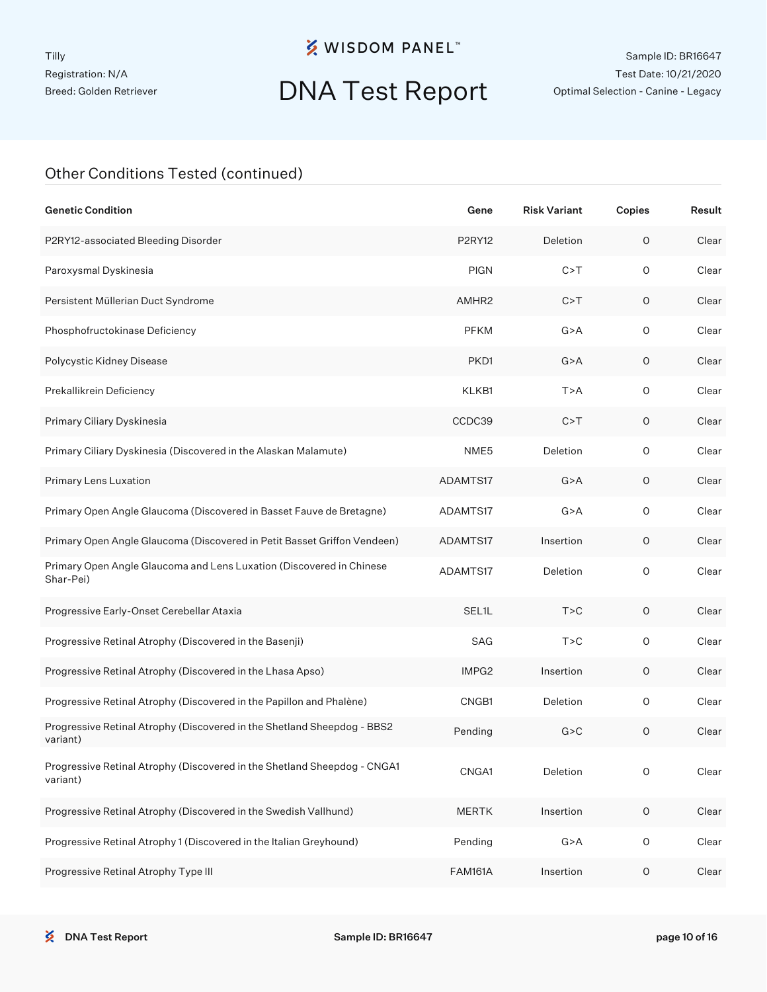## DNA Test Report

Sample ID: BR16647 Test Date: 10/21/2020 Optimal Selection - Canine - Legacy

| <b>Genetic Condition</b>                                                             | Gene               | <b>Risk Variant</b> | Copies              | Result |
|--------------------------------------------------------------------------------------|--------------------|---------------------|---------------------|--------|
| P2RY12-associated Bleeding Disorder                                                  | <b>P2RY12</b>      | Deletion            | $\circ$             | Clear  |
| Paroxysmal Dyskinesia                                                                | <b>PIGN</b>        | C > T               | 0                   | Clear  |
| Persistent Müllerian Duct Syndrome                                                   | AMHR2              | C > T               | 0                   | Clear  |
| Phosphofructokinase Deficiency                                                       | <b>PFKM</b>        | G > A               | 0                   | Clear  |
| Polycystic Kidney Disease                                                            | PKD1               | G > A               | 0                   | Clear  |
| Prekallikrein Deficiency                                                             | KLKB1              | T > A               | 0                   | Clear  |
| Primary Ciliary Dyskinesia                                                           | CCDC39             | C > T               | 0                   | Clear  |
| Primary Ciliary Dyskinesia (Discovered in the Alaskan Malamute)                      | NME <sub>5</sub>   | Deletion            | 0                   | Clear  |
| Primary Lens Luxation                                                                | ADAMTS17           | G > A               | 0                   | Clear  |
| Primary Open Angle Glaucoma (Discovered in Basset Fauve de Bretagne)                 | ADAMTS17           | G > A               | 0                   | Clear  |
| Primary Open Angle Glaucoma (Discovered in Petit Basset Griffon Vendeen)             | ADAMTS17           | Insertion           | 0                   | Clear  |
| Primary Open Angle Glaucoma and Lens Luxation (Discovered in Chinese<br>Shar-Pei)    | ADAMTS17           | Deletion            | $\circ$             | Clear  |
| Progressive Early-Onset Cerebellar Ataxia                                            | SEL <sub>1</sub> L | T > C               | 0                   | Clear  |
| Progressive Retinal Atrophy (Discovered in the Basenji)                              | SAG                | T > C               | $\circ$             | Clear  |
| Progressive Retinal Atrophy (Discovered in the Lhasa Apso)                           | IMPG2              | Insertion           | 0                   | Clear  |
| Progressive Retinal Atrophy (Discovered in the Papillon and Phalène)                 | CNGB1              | Deletion            | $\circ$             | Clear  |
| Progressive Retinal Atrophy (Discovered in the Shetland Sheepdog - BBS2<br>variant)  | Pending            | G > C               | 0                   | Clear  |
| Progressive Retinal Atrophy (Discovered in the Shetland Sheepdog - CNGA1<br>variant) | CNGA1              | Deletion            | O                   | Clear  |
| Progressive Retinal Atrophy (Discovered in the Swedish Vallhund)                     | <b>MERTK</b>       | Insertion           | $\mathsf{O}\xspace$ | Clear  |
| Progressive Retinal Atrophy 1 (Discovered in the Italian Greyhound)                  | Pending            | G > A               | $\mathsf O$         | Clear  |
| Progressive Retinal Atrophy Type III                                                 | <b>FAM161A</b>     | Insertion           | $\mathsf O$         | Clear  |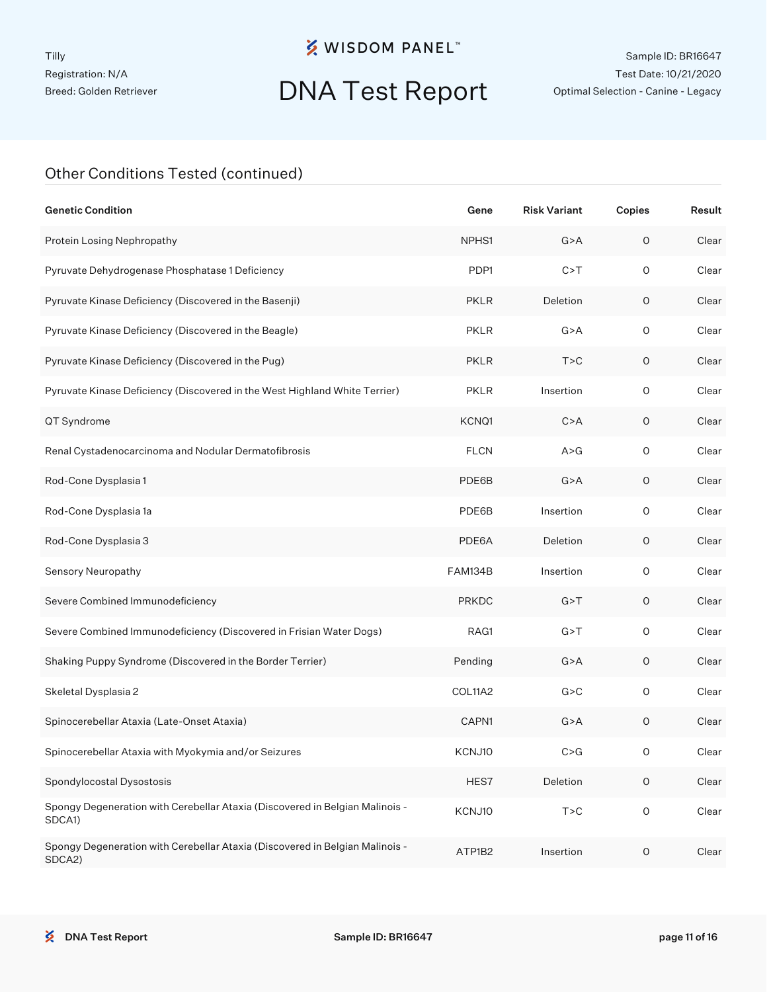## DNA Test Report

Sample ID: BR16647 Test Date: 10/21/2020 Optimal Selection - Canine - Legacy

| <b>Genetic Condition</b>                                                               | Gene           | <b>Risk Variant</b> | Copies      | Result |
|----------------------------------------------------------------------------------------|----------------|---------------------|-------------|--------|
| Protein Losing Nephropathy                                                             | NPHS1          | G > A               | $\circ$     | Clear  |
| Pyruvate Dehydrogenase Phosphatase 1 Deficiency                                        | PDP1           | C > T               | 0           | Clear  |
| Pyruvate Kinase Deficiency (Discovered in the Basenji)                                 | <b>PKLR</b>    | Deletion            | O           | Clear  |
| Pyruvate Kinase Deficiency (Discovered in the Beagle)                                  | <b>PKLR</b>    | G > A               | $\circ$     | Clear  |
| Pyruvate Kinase Deficiency (Discovered in the Pug)                                     | <b>PKLR</b>    | T > C               | 0           | Clear  |
| Pyruvate Kinase Deficiency (Discovered in the West Highland White Terrier)             | <b>PKLR</b>    | Insertion           | $\circ$     | Clear  |
| QT Syndrome                                                                            | KCNQ1          | C > A               | $\circ$     | Clear  |
| Renal Cystadenocarcinoma and Nodular Dermatofibrosis                                   | <b>FLCN</b>    | A > G               | $\circ$     | Clear  |
| Rod-Cone Dysplasia 1                                                                   | PDE6B          | G > A               | $\circ$     | Clear  |
| Rod-Cone Dysplasia 1a                                                                  | PDE6B          | Insertion           | $\circ$     | Clear  |
| Rod-Cone Dysplasia 3                                                                   | PDE6A          | Deletion            | $\circ$     | Clear  |
| Sensory Neuropathy                                                                     | <b>FAM134B</b> | Insertion           | $\circ$     | Clear  |
| Severe Combined Immunodeficiency                                                       | <b>PRKDC</b>   | G > T               | 0           | Clear  |
| Severe Combined Immunodeficiency (Discovered in Frisian Water Dogs)                    | RAG1           | G > T               | $\circ$     | Clear  |
| Shaking Puppy Syndrome (Discovered in the Border Terrier)                              | Pending        | G > A               | $\circ$     | Clear  |
| Skeletal Dysplasia 2                                                                   | COL11A2        | G > C               | $\circ$     | Clear  |
| Spinocerebellar Ataxia (Late-Onset Ataxia)                                             | CAPN1          | G > A               | 0           | Clear  |
| Spinocerebellar Ataxia with Myokymia and/or Seizures                                   | KCNJ10         | C > G               | 0           | Clear  |
| Spondylocostal Dysostosis                                                              | HES7           | Deletion            | $\mathsf O$ | Clear  |
| Spongy Degeneration with Cerebellar Ataxia (Discovered in Belgian Malinois -<br>SDCA1) | KCNJ10         | T > C               | $\mathsf O$ | Clear  |
| Spongy Degeneration with Cerebellar Ataxia (Discovered in Belgian Malinois -<br>SDCA2) | ATP1B2         | Insertion           | $\mathsf O$ | Clear  |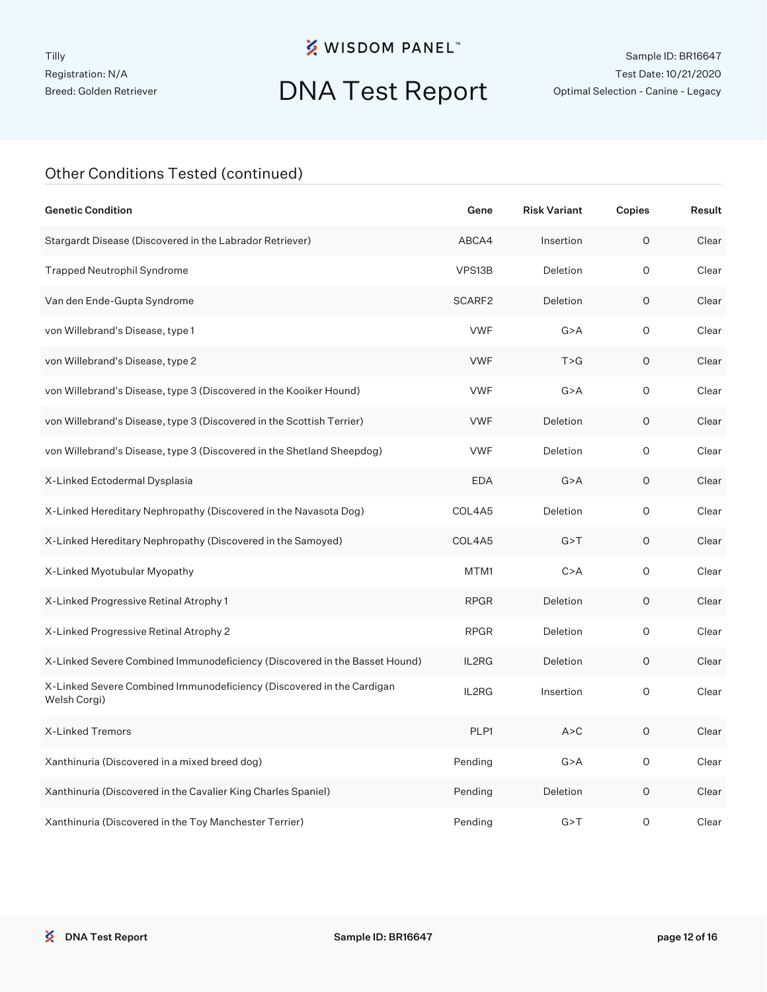# DNA Test Report

Sample ID: BR16647 Test Date: 10/21/2020 Optimal Selection - Canine - Legacy

| <b>Genetic Condition</b>                                                              | Gene               | <b>Risk Variant</b> | Copies | Result |
|---------------------------------------------------------------------------------------|--------------------|---------------------|--------|--------|
| Stargardt Disease (Discovered in the Labrador Retriever)                              | ABCA4              | Insertion           | 0      | Clear  |
| <b>Trapped Neutrophil Syndrome</b>                                                    | VPS13B             | Deletion            | O      | Clear  |
| Van den Ende-Gupta Syndrome                                                           | SCARF <sub>2</sub> | Deletion            | 0      | Clear  |
| von Willebrand's Disease, type 1                                                      | <b>VWF</b>         | G > A               | 0      | Clear  |
| von Willebrand's Disease, type 2                                                      | <b>VWF</b>         | T > G               | O      | Clear  |
| von Willebrand's Disease, type 3 (Discovered in the Kooiker Hound)                    | <b>VWF</b>         | G > A               | 0      | Clear  |
| von Willebrand's Disease, type 3 (Discovered in the Scottish Terrier)                 | <b>VWF</b>         | Deletion            | O      | Clear  |
| von Willebrand's Disease, type 3 (Discovered in the Shetland Sheepdog)                | <b>VWF</b>         | Deletion            | O      | Clear  |
| X-Linked Ectodermal Dysplasia                                                         | <b>EDA</b>         | G > A               | O      | Clear  |
| X-Linked Hereditary Nephropathy (Discovered in the Navasota Dog)                      | COL4A5             | Deletion            | 0      | Clear  |
| X-Linked Hereditary Nephropathy (Discovered in the Samoyed)                           | COL4A5             | G > T               | 0      | Clear  |
| X-Linked Myotubular Myopathy                                                          | MTM1               | C > A               | O      | Clear  |
| X-Linked Progressive Retinal Atrophy 1                                                | <b>RPGR</b>        | Deletion            | O      | Clear  |
| X-Linked Progressive Retinal Atrophy 2                                                | <b>RPGR</b>        | Deletion            | 0      | Clear  |
| X-Linked Severe Combined Immunodeficiency (Discovered in the Basset Hound)            | IL2RG              | Deletion            | O      | Clear  |
| X-Linked Severe Combined Immunodeficiency (Discovered in the Cardigan<br>Welsh Corgi) | IL2RG              | Insertion           | 0      | Clear  |
| X-Linked Tremors                                                                      | PLP1               | A > C               | O      | Clear  |
| Xanthinuria (Discovered in a mixed breed dog)                                         | Pending            | G > A               | 0      | Clear  |
| Xanthinuria (Discovered in the Cavalier King Charles Spaniel)                         | Pending            | Deletion            | 0      | Clear  |
| Xanthinuria (Discovered in the Toy Manchester Terrier)                                | Pending            | G > T               | O      | Clear  |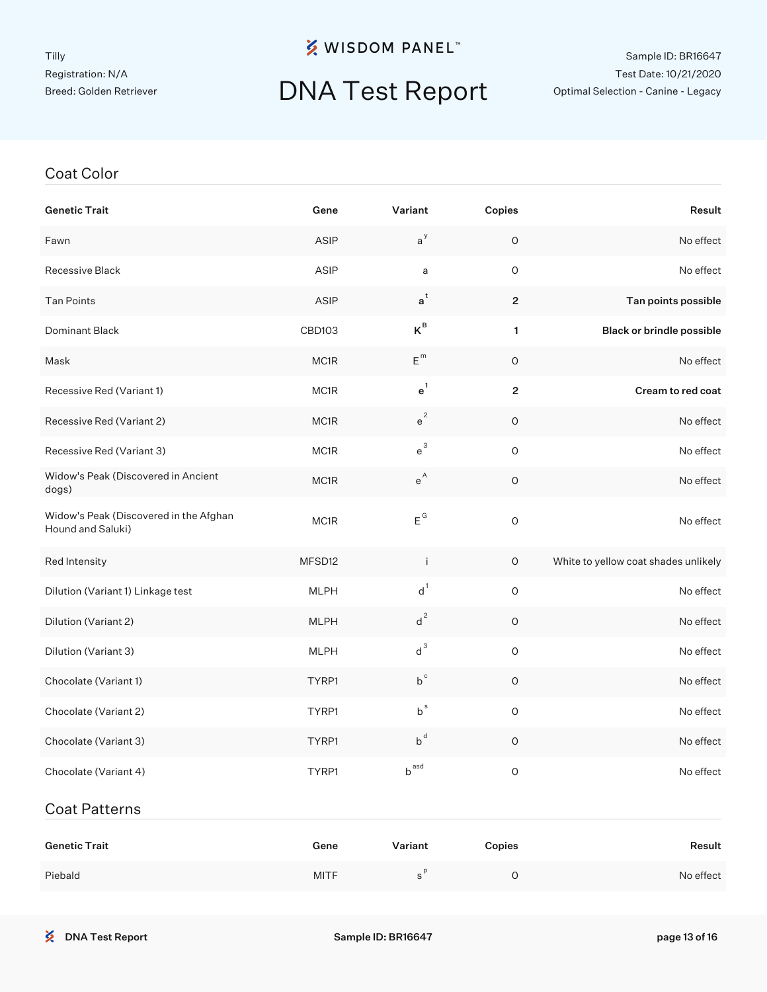Coat Color

## **※ WISDOM PANEL**™

#### Sample ID: BR16647 Test Date: 10/21/2020 Optimal Selection - Canine - Legacy

# DNA Test Report

| <b>Genetic Trait</b>                                        | Gene        | Variant                 | Copies                  | Result                               |
|-------------------------------------------------------------|-------------|-------------------------|-------------------------|--------------------------------------|
| Fawn                                                        | ASIP        | $a^y$                   | $\mathsf O$             | No effect                            |
| Recessive Black                                             | ASIP        | a                       | $\mathsf O$             | No effect                            |
| <b>Tan Points</b>                                           | ASIP        | $\mathsf{a}^\mathsf{t}$ | $\overline{c}$          | Tan points possible                  |
| Dominant Black                                              | CBD103      | $K^B$                   | 1                       | <b>Black or brindle possible</b>     |
| Mask                                                        | MC1R        | $E^{m}$                 | $\mathsf O$             | No effect                            |
| Recessive Red (Variant 1)                                   | MC1R        | $e^1$                   | $\overline{\mathbf{c}}$ | Cream to red coat                    |
| Recessive Red (Variant 2)                                   | MC1R        | $e^2$                   | $\mathsf O$             | No effect                            |
| Recessive Red (Variant 3)                                   | MC1R        | $e^3$                   | $\mathsf O$             | No effect                            |
| Widow's Peak (Discovered in Ancient<br>dogs)                | MC1R        | $e^{A}$                 | $\mathsf O$             | No effect                            |
| Widow's Peak (Discovered in the Afghan<br>Hound and Saluki) | MC1R        | $E^G$                   | $\mathsf O$             | No effect                            |
| Red Intensity                                               | MFSD12      | Ť                       | 0                       | White to yellow coat shades unlikely |
| Dilution (Variant 1) Linkage test                           | <b>MLPH</b> | $d^1$                   | $\mathsf O$             | No effect                            |
| Dilution (Variant 2)                                        | <b>MLPH</b> | $d^2$                   | $\circ$                 | No effect                            |
| Dilution (Variant 3)                                        | <b>MLPH</b> | $d^3$                   | $\mathsf O$             | No effect                            |
| Chocolate (Variant 1)                                       | TYRP1       | $b^c$                   | $\circ$                 | No effect                            |
| Chocolate (Variant 2)                                       | TYRP1       | $b^s$                   | $\mathsf O$             | No effect                            |
| Chocolate (Variant 3)                                       | TYRP1       | $b^d$                   | $\circ$                 | No effect                            |
| Chocolate (Variant 4)                                       | TYRP1       | b <sup>asd</sup>        | O                       | No effect                            |
| <b>Coat Patterns</b>                                        |             |                         |                         |                                      |
| <b>Genetic Trait</b>                                        | Gene        | Variant                 | Copies                  | Result                               |

| <b>Genetic Trait</b> | Gene        | Variant | Copies | Result    |
|----------------------|-------------|---------|--------|-----------|
| Piebald              | <b>MITF</b> |         |        | No effect |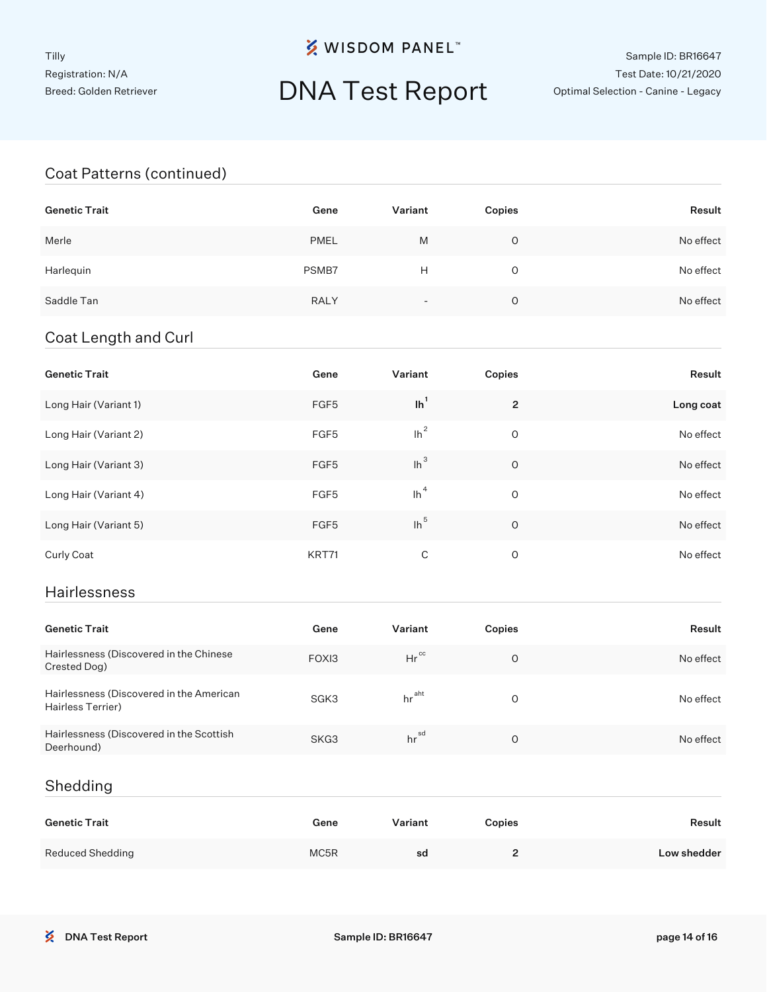## DNA Test Report

#### Sample ID: BR16647 Test Date: 10/21/2020 Optimal Selection - Canine - Legacy

#### Coat Patterns (continued)

| <b>Genetic Trait</b> | Gene        | Variant                  | Copies | Result    |
|----------------------|-------------|--------------------------|--------|-----------|
| Merle                | <b>PMEL</b> | M                        | O      | No effect |
| Harlequin            | PSMB7       | Н                        | 0      | No effect |
| Saddle Tan           | <b>RALY</b> | $\overline{\phantom{0}}$ | O      | No effect |

#### Coat Length and Curl

| <b>Genetic Trait</b>  | Gene  | Variant            | Copies         | Result    |
|-----------------------|-------|--------------------|----------------|-----------|
| Long Hair (Variant 1) | FGF5  | $\ln$ <sup>1</sup> | $\overline{2}$ | Long coat |
| Long Hair (Variant 2) | FGF5  | $\ln^2$            | O              | No effect |
| Long Hair (Variant 3) | FGF5  | $lh^3$             | $\circ$        | No effect |
| Long Hair (Variant 4) | FGF5  | $\ln^4$            | O              | No effect |
| Long Hair (Variant 5) | FGF5  | $lh^5$             | $\circ$        | No effect |
| Curly Coat            | KRT71 | C                  | 0              | No effect |

#### Hairlessness

| <b>Genetic Trait</b>                                          | Gene  | Variant           | Copies | Result    |
|---------------------------------------------------------------|-------|-------------------|--------|-----------|
| Hairlessness (Discovered in the Chinese<br>Crested Dog)       | FOXI3 | $Hr^{cc}$         | O      | No effect |
| Hairlessness (Discovered in the American<br>Hairless Terrier) | SGK3  | hr <sup>aht</sup> | O      | No effect |
| Hairlessness (Discovered in the Scottish<br>Deerhound)        | SKG3  | hr <sup>sd</sup>  | 0      | No effect |

#### Shedding

| <b>Genetic Trait</b> | Gene | Variant | Copies | Result      |
|----------------------|------|---------|--------|-------------|
| Reduced Shedding     | MC5R | sd      | -      | Low shedder |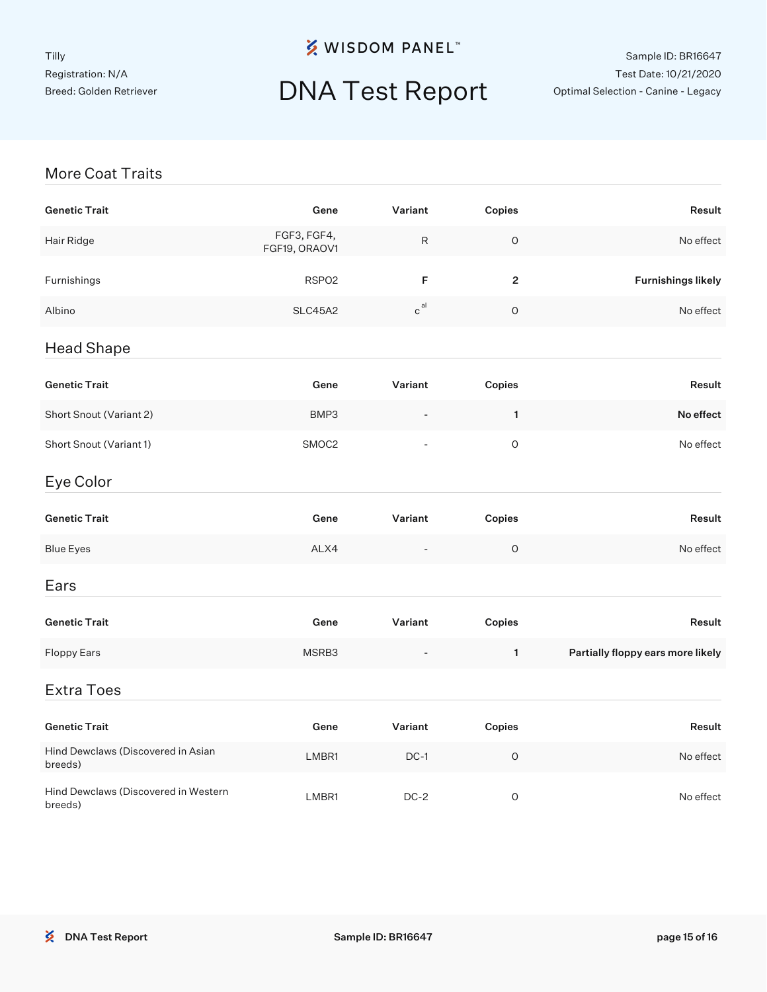# DNA Test Report

#### Sample ID: BR16647 Test Date: 10/21/2020 Optimal Selection - Canine - Legacy

#### More Coat Traits

| <b>Genetic Trait</b>                            | Gene                         | Variant                  | Copies       | Result                            |
|-------------------------------------------------|------------------------------|--------------------------|--------------|-----------------------------------|
| Hair Ridge                                      | FGF3, FGF4,<br>FGF19, ORAOV1 | ${\sf R}$                | $\mathsf O$  | No effect                         |
| Furnishings                                     | RSPO <sub>2</sub>            | F                        | $\mathbf 2$  | <b>Furnishings likely</b>         |
| Albino                                          | SLC45A2                      | $\mathtt{c}^\mathtt{al}$ | $\mathsf O$  | No effect                         |
| <b>Head Shape</b>                               |                              |                          |              |                                   |
| <b>Genetic Trait</b>                            | Gene                         | Variant                  | Copies       | Result                            |
| Short Snout (Variant 2)                         | BMP3                         |                          | $\mathbf{1}$ | No effect                         |
| Short Snout (Variant 1)                         | SMOC2                        |                          | $\mathsf O$  | No effect                         |
| Eye Color                                       |                              |                          |              |                                   |
| <b>Genetic Trait</b>                            | Gene                         | Variant                  | Copies       | Result                            |
| <b>Blue Eyes</b>                                | ALX4                         |                          | $\mathsf O$  | No effect                         |
| Ears                                            |                              |                          |              |                                   |
| <b>Genetic Trait</b>                            | Gene                         | Variant                  | Copies       | Result                            |
| <b>Floppy Ears</b>                              | MSRB3                        |                          | $\mathbf{1}$ | Partially floppy ears more likely |
| <b>Extra Toes</b>                               |                              |                          |              |                                   |
| <b>Genetic Trait</b>                            | Gene                         | Variant                  | Copies       | Result                            |
| Hind Dewclaws (Discovered in Asian<br>breeds)   | LMBR1                        | $DC-1$                   | $\mathsf O$  | No effect                         |
| Hind Dewclaws (Discovered in Western<br>breeds) | LMBR1                        | $DC-2$                   | $\mathsf O$  | No effect                         |